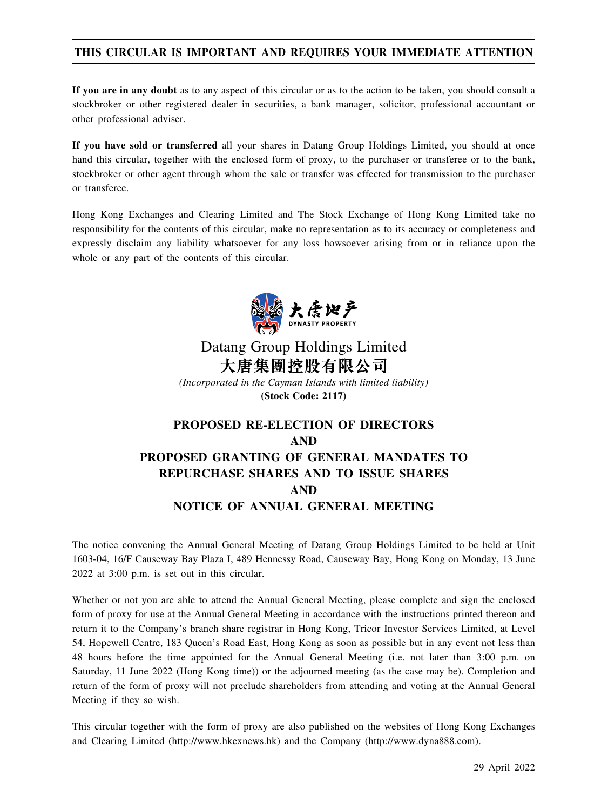# **THIS CIRCULAR IS IMPORTANT AND REQUIRES YOUR IMMEDIATE ATTENTION**

**If you are in any doubt** as to any aspect of this circular or as to the action to be taken, you should consult a stockbroker or other registered dealer in securities, a bank manager, solicitor, professional accountant or other professional adviser.

**If you have sold or transferred** all your shares in Datang Group Holdings Limited, you should at once hand this circular, together with the enclosed form of proxy, to the purchaser or transferee or to the bank, stockbroker or other agent through whom the sale or transfer was effected for transmission to the purchaser or transferee.

Hong Kong Exchanges and Clearing Limited and The Stock Exchange of Hong Kong Limited take no responsibility for the contents of this circular, make no representation as to its accuracy or completeness and expressly disclaim any liability whatsoever for any loss howsoever arising from or in reliance upon the whole or any part of the contents of this circular.



# Datang Group Holdings Limited 大唐集團控股有限公司

*(Incorporated in the Cayman Islands with limited liability)* **(Stock Code: 2117)**

# **PROPOSED RE-ELECTION OF DIRECTORS AND PROPOSED GRANTING OF GENERAL MANDATES TO REPURCHASE SHARES AND TO ISSUE SHARES AND NOTICE OF ANNUAL GENERAL MEETING**

The notice convening the Annual General Meeting of Datang Group Holdings Limited to be held at Unit 1603-04, 16/F Causeway Bay Plaza I, 489 Hennessy Road, Causeway Bay, Hong Kong on Monday, 13 June 2022 at 3:00 p.m. is set out in this circular.

Whether or not you are able to attend the Annual General Meeting, please complete and sign the enclosed form of proxy for use at the Annual General Meeting in accordance with the instructions printed thereon and return it to the Company's branch share registrar in Hong Kong, Tricor Investor Services Limited, at Level 54, Hopewell Centre, 183 Queen's Road East, Hong Kong as soon as possible but in any event not less than 48 hours before the time appointed for the Annual General Meeting (i.e. not later than 3:00 p.m. on Saturday, 11 June 2022 (Hong Kong time)) or the adjourned meeting (as the case may be). Completion and return of the form of proxy will not preclude shareholders from attending and voting at the Annual General Meeting if they so wish.

This circular together with the form of proxy are also published on the websites of Hong Kong Exchanges and Clearing Limited (http://www.hkexnews.hk) and the Company (http://www.dyna888.com).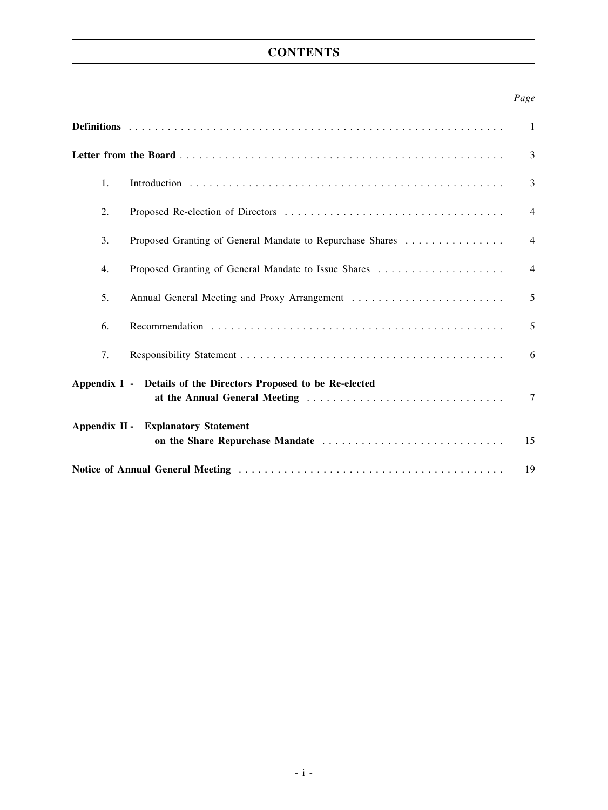# **CONTENTS**

## *Page*

|    |                                                                                                  | $\mathbf{1}$   |  |  |
|----|--------------------------------------------------------------------------------------------------|----------------|--|--|
|    |                                                                                                  | 3              |  |  |
| 1. |                                                                                                  | 3              |  |  |
| 2. |                                                                                                  | $\overline{4}$ |  |  |
| 3. | Proposed Granting of General Mandate to Repurchase Shares                                        | $\overline{4}$ |  |  |
| 4. | Proposed Granting of General Mandate to Issue Shares                                             | $\overline{4}$ |  |  |
| 5. |                                                                                                  | 5              |  |  |
| 6. |                                                                                                  | 5              |  |  |
| 7. |                                                                                                  | 6              |  |  |
|    | Appendix I - Details of the Directors Proposed to be Re-elected<br>at the Annual General Meeting | 7              |  |  |
|    | <b>Appendix II - Explanatory Statement</b><br>on the Share Repurchase Mandate                    | 15             |  |  |
|    |                                                                                                  |                |  |  |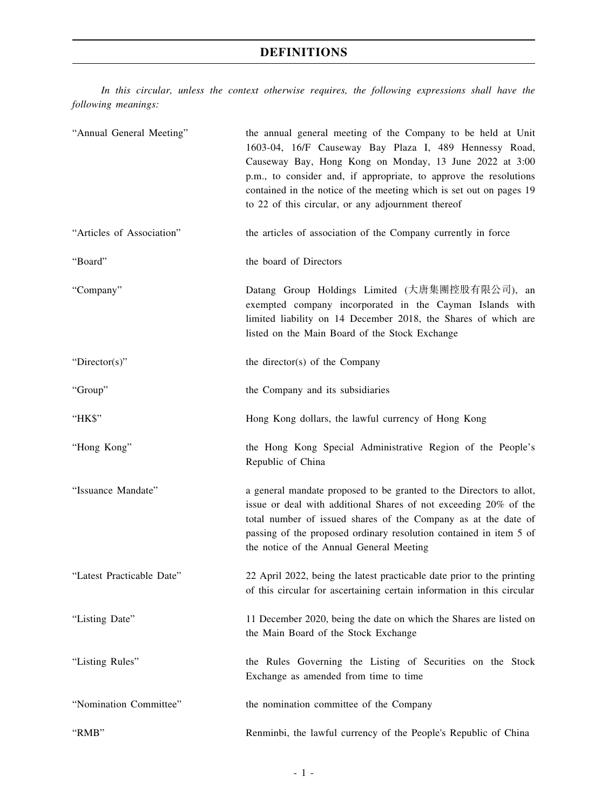# **DEFINITIONS**

*In this circular, unless the context otherwise requires, the following expressions shall have the following meanings:*

| "Annual General Meeting"  | the annual general meeting of the Company to be held at Unit<br>1603-04, 16/F Causeway Bay Plaza I, 489 Hennessy Road,<br>Causeway Bay, Hong Kong on Monday, 13 June 2022 at 3:00<br>p.m., to consider and, if appropriate, to approve the resolutions<br>contained in the notice of the meeting which is set out on pages 19<br>to 22 of this circular, or any adjournment thereof |
|---------------------------|-------------------------------------------------------------------------------------------------------------------------------------------------------------------------------------------------------------------------------------------------------------------------------------------------------------------------------------------------------------------------------------|
| "Articles of Association" | the articles of association of the Company currently in force                                                                                                                                                                                                                                                                                                                       |
| "Board"                   | the board of Directors                                                                                                                                                                                                                                                                                                                                                              |
| "Company"                 | Datang Group Holdings Limited (大唐集團控股有限公司), an<br>exempted company incorporated in the Cayman Islands with<br>limited liability on 14 December 2018, the Shares of which are<br>listed on the Main Board of the Stock Exchange                                                                                                                                                      |
| "Director(s)"             | the director(s) of the Company                                                                                                                                                                                                                                                                                                                                                      |
| "Group"                   | the Company and its subsidiaries                                                                                                                                                                                                                                                                                                                                                    |
| "HK\$"                    | Hong Kong dollars, the lawful currency of Hong Kong                                                                                                                                                                                                                                                                                                                                 |
| "Hong Kong"               | the Hong Kong Special Administrative Region of the People's<br>Republic of China                                                                                                                                                                                                                                                                                                    |
| "Issuance Mandate"        | a general mandate proposed to be granted to the Directors to allot,<br>issue or deal with additional Shares of not exceeding 20% of the<br>total number of issued shares of the Company as at the date of<br>passing of the proposed ordinary resolution contained in item 5 of<br>the notice of the Annual General Meeting                                                         |
| "Latest Practicable Date" | 22 April 2022, being the latest practicable date prior to the printing<br>of this circular for ascertaining certain information in this circular                                                                                                                                                                                                                                    |
| "Listing Date"            | 11 December 2020, being the date on which the Shares are listed on<br>the Main Board of the Stock Exchange                                                                                                                                                                                                                                                                          |
| "Listing Rules"           | the Rules Governing the Listing of Securities on the Stock<br>Exchange as amended from time to time                                                                                                                                                                                                                                                                                 |
| "Nomination Committee"    | the nomination committee of the Company                                                                                                                                                                                                                                                                                                                                             |
| "RMB"                     | Renminbi, the lawful currency of the People's Republic of China                                                                                                                                                                                                                                                                                                                     |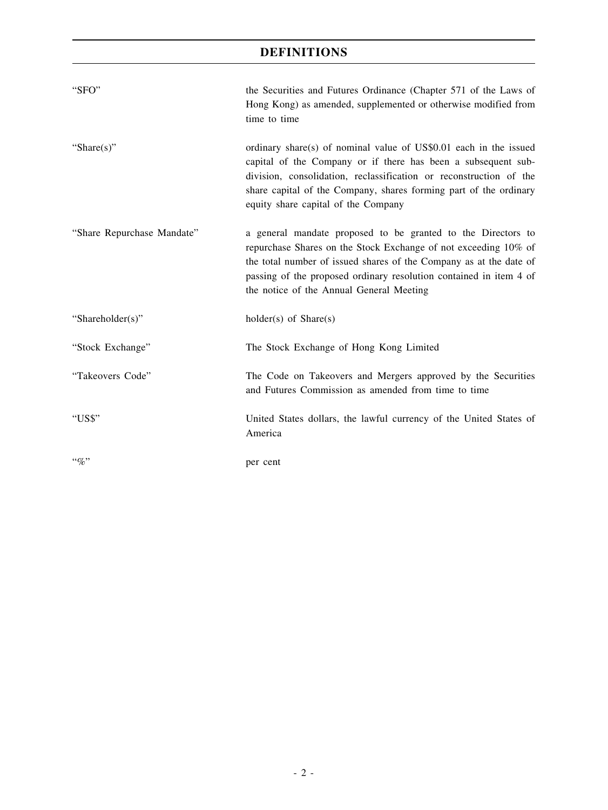# **DEFINITIONS**

| "SFO"                      | the Securities and Futures Ordinance (Chapter 571 of the Laws of<br>Hong Kong) as amended, supplemented or otherwise modified from<br>time to time                                                                                                                                                                      |
|----------------------------|-------------------------------------------------------------------------------------------------------------------------------------------------------------------------------------------------------------------------------------------------------------------------------------------------------------------------|
| "Share $(s)$ "             | ordinary share(s) of nominal value of US\$0.01 each in the issued<br>capital of the Company or if there has been a subsequent sub-<br>division, consolidation, reclassification or reconstruction of the<br>share capital of the Company, shares forming part of the ordinary<br>equity share capital of the Company    |
| "Share Repurchase Mandate" | a general mandate proposed to be granted to the Directors to<br>repurchase Shares on the Stock Exchange of not exceeding 10% of<br>the total number of issued shares of the Company as at the date of<br>passing of the proposed ordinary resolution contained in item 4 of<br>the notice of the Annual General Meeting |
| "Shareholder(s)"           | $holder(s)$ of $Share(s)$                                                                                                                                                                                                                                                                                               |
| "Stock Exchange"           | The Stock Exchange of Hong Kong Limited                                                                                                                                                                                                                                                                                 |
| "Takeovers Code"           | The Code on Takeovers and Mergers approved by the Securities<br>and Futures Commission as amended from time to time                                                                                                                                                                                                     |
| "US\$"                     | United States dollars, the lawful currency of the United States of<br>America                                                                                                                                                                                                                                           |
| $``q_0"$                   | per cent                                                                                                                                                                                                                                                                                                                |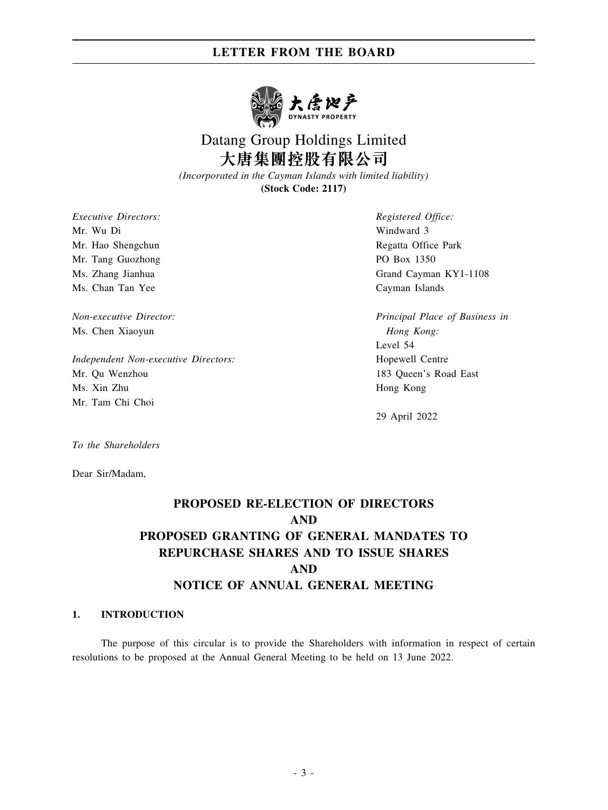# **LETTER FROM THE BOARD**



# Datang Group Holdings Limited 大唐集團控股有限公司

*(Incorporated in the Cayman Islands with limited liability)* **(Stock Code: 2117)**

*Executive Directors:* Mr. Wu Di Mr. Hao Shengchun Mr. Tang Guozhong Ms. Zhang Jianhua Ms. Chan Tan Yee

*Non-executive Director:* Ms. Chen Xiaoyun

*Independent Non-executive Directors:* Mr. Qu Wenzhou Ms. Xin Zhu Mr. Tam Chi Choi

*Registered Office:* Windward 3 Regatta Office Park PO Box 1350 Grand Cayman KY1-1108 Cayman Islands

*Principal Place of Business in Hong Kong:* Level 54 Hopewell Centre 183 Queen's Road East Hong Kong

29 April 2022

*To the Shareholders*

Dear Sir/Madam,

# **PROPOSED RE-ELECTION OF DIRECTORS AND PROPOSED GRANTING OF GENERAL MANDATES TO REPURCHASE SHARES AND TO ISSUE SHARES AND NOTICE OF ANNUAL GENERAL MEETING**

## **1. INTRODUCTION**

The purpose of this circular is to provide the Shareholders with information in respect of certain resolutions to be proposed at the Annual General Meeting to be held on 13 June 2022.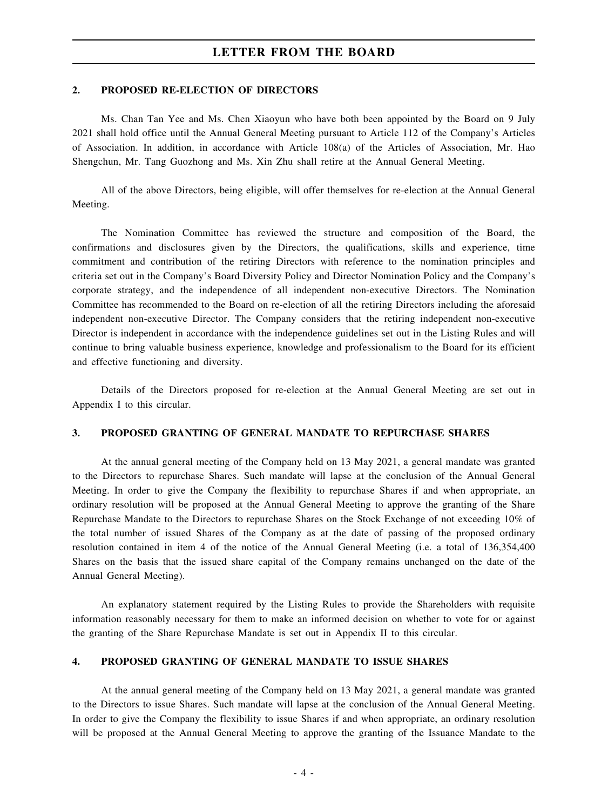## **LETTER FROM THE BOARD**

#### **2. PROPOSED RE-ELECTION OF DIRECTORS**

Ms. Chan Tan Yee and Ms. Chen Xiaoyun who have both been appointed by the Board on 9 July 2021 shall hold office until the Annual General Meeting pursuant to Article 112 of the Company's Articles of Association. In addition, in accordance with Article 108(a) of the Articles of Association, Mr. Hao Shengchun, Mr. Tang Guozhong and Ms. Xin Zhu shall retire at the Annual General Meeting.

All of the above Directors, being eligible, will offer themselves for re-election at the Annual General Meeting.

The Nomination Committee has reviewed the structure and composition of the Board, the confirmations and disclosures given by the Directors, the qualifications, skills and experience, time commitment and contribution of the retiring Directors with reference to the nomination principles and criteria set out in the Company's Board Diversity Policy and Director Nomination Policy and the Company's corporate strategy, and the independence of all independent non-executive Directors. The Nomination Committee has recommended to the Board on re-election of all the retiring Directors including the aforesaid independent non-executive Director. The Company considers that the retiring independent non-executive Director is independent in accordance with the independence guidelines set out in the Listing Rules and will continue to bring valuable business experience, knowledge and professionalism to the Board for its efficient and effective functioning and diversity.

Details of the Directors proposed for re-election at the Annual General Meeting are set out in Appendix I to this circular.

## **3. PROPOSED GRANTING OF GENERAL MANDATE TO REPURCHASE SHARES**

At the annual general meeting of the Company held on 13 May 2021, a general mandate was granted to the Directors to repurchase Shares. Such mandate will lapse at the conclusion of the Annual General Meeting. In order to give the Company the flexibility to repurchase Shares if and when appropriate, an ordinary resolution will be proposed at the Annual General Meeting to approve the granting of the Share Repurchase Mandate to the Directors to repurchase Shares on the Stock Exchange of not exceeding 10% of the total number of issued Shares of the Company as at the date of passing of the proposed ordinary resolution contained in item 4 of the notice of the Annual General Meeting (i.e. a total of 136,354,400 Shares on the basis that the issued share capital of the Company remains unchanged on the date of the Annual General Meeting).

An explanatory statement required by the Listing Rules to provide the Shareholders with requisite information reasonably necessary for them to make an informed decision on whether to vote for or against the granting of the Share Repurchase Mandate is set out in Appendix II to this circular.

## **4. PROPOSED GRANTING OF GENERAL MANDATE TO ISSUE SHARES**

At the annual general meeting of the Company held on 13 May 2021, a general mandate was granted to the Directors to issue Shares. Such mandate will lapse at the conclusion of the Annual General Meeting. In order to give the Company the flexibility to issue Shares if and when appropriate, an ordinary resolution will be proposed at the Annual General Meeting to approve the granting of the Issuance Mandate to the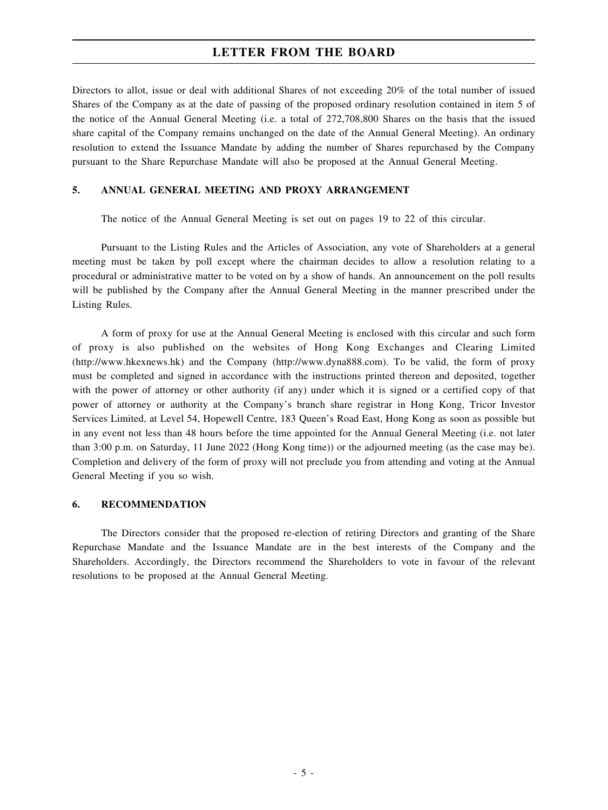# **LETTER FROM THE BOARD**

Directors to allot, issue or deal with additional Shares of not exceeding 20% of the total number of issued Shares of the Company as at the date of passing of the proposed ordinary resolution contained in item 5 of the notice of the Annual General Meeting (i.e. a total of 272,708,800 Shares on the basis that the issued share capital of the Company remains unchanged on the date of the Annual General Meeting). An ordinary resolution to extend the Issuance Mandate by adding the number of Shares repurchased by the Company pursuant to the Share Repurchase Mandate will also be proposed at the Annual General Meeting.

## **5. ANNUAL GENERAL MEETING AND PROXY ARRANGEMENT**

The notice of the Annual General Meeting is set out on pages 19 to 22 of this circular.

Pursuant to the Listing Rules and the Articles of Association, any vote of Shareholders at a general meeting must be taken by poll except where the chairman decides to allow a resolution relating to a procedural or administrative matter to be voted on by a show of hands. An announcement on the poll results will be published by the Company after the Annual General Meeting in the manner prescribed under the Listing Rules.

A form of proxy for use at the Annual General Meeting is enclosed with this circular and such form of proxy is also published on the websites of Hong Kong Exchanges and Clearing Limited (http://www.hkexnews.hk) and the Company (http://www.dyna888.com). To be valid, the form of proxy must be completed and signed in accordance with the instructions printed thereon and deposited, together with the power of attorney or other authority (if any) under which it is signed or a certified copy of that power of attorney or authority at the Company's branch share registrar in Hong Kong, Tricor Investor Services Limited, at Level 54, Hopewell Centre, 183 Queen's Road East, Hong Kong as soon as possible but in any event not less than 48 hours before the time appointed for the Annual General Meeting (i.e. not later than 3:00 p.m. on Saturday, 11 June 2022 (Hong Kong time)) or the adjourned meeting (as the case may be). Completion and delivery of the form of proxy will not preclude you from attending and voting at the Annual General Meeting if you so wish.

## **6. RECOMMENDATION**

The Directors consider that the proposed re-election of retiring Directors and granting of the Share Repurchase Mandate and the Issuance Mandate are in the best interests of the Company and the Shareholders. Accordingly, the Directors recommend the Shareholders to vote in favour of the relevant resolutions to be proposed at the Annual General Meeting.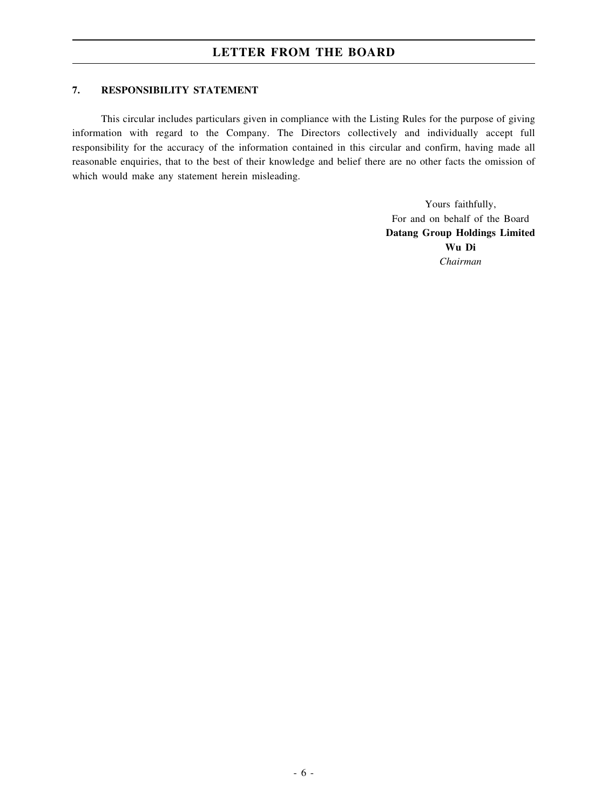## **7. RESPONSIBILITY STATEMENT**

This circular includes particulars given in compliance with the Listing Rules for the purpose of giving information with regard to the Company. The Directors collectively and individually accept full responsibility for the accuracy of the information contained in this circular and confirm, having made all reasonable enquiries, that to the best of their knowledge and belief there are no other facts the omission of which would make any statement herein misleading.

> Yours faithfully, For and on behalf of the Board **Datang Group Holdings Limited Wu Di** *Chairman*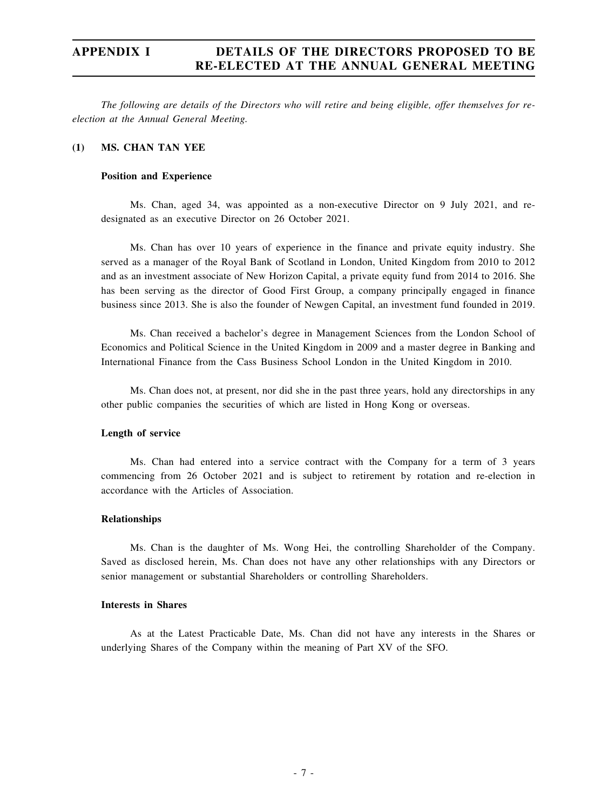*The following are details of the Directors who will retire and being eligible, offer themselves for reelection at the Annual General Meeting.*

#### **(1) MS. CHAN TAN YEE**

#### **Position and Experience**

Ms. Chan, aged 34, was appointed as a non-executive Director on 9 July 2021, and redesignated as an executive Director on 26 October 2021.

Ms. Chan has over 10 years of experience in the finance and private equity industry. She served as a manager of the Royal Bank of Scotland in London, United Kingdom from 2010 to 2012 and as an investment associate of New Horizon Capital, a private equity fund from 2014 to 2016. She has been serving as the director of Good First Group, a company principally engaged in finance business since 2013. She is also the founder of Newgen Capital, an investment fund founded in 2019.

Ms. Chan received a bachelor's degree in Management Sciences from the London School of Economics and Political Science in the United Kingdom in 2009 and a master degree in Banking and International Finance from the Cass Business School London in the United Kingdom in 2010.

Ms. Chan does not, at present, nor did she in the past three years, hold any directorships in any other public companies the securities of which are listed in Hong Kong or overseas.

#### **Length of service**

Ms. Chan had entered into a service contract with the Company for a term of 3 years commencing from 26 October 2021 and is subject to retirement by rotation and re-election in accordance with the Articles of Association.

#### **Relationships**

Ms. Chan is the daughter of Ms. Wong Hei, the controlling Shareholder of the Company. Saved as disclosed herein, Ms. Chan does not have any other relationships with any Directors or senior management or substantial Shareholders or controlling Shareholders.

#### **Interests in Shares**

As at the Latest Practicable Date, Ms. Chan did not have any interests in the Shares or underlying Shares of the Company within the meaning of Part XV of the SFO.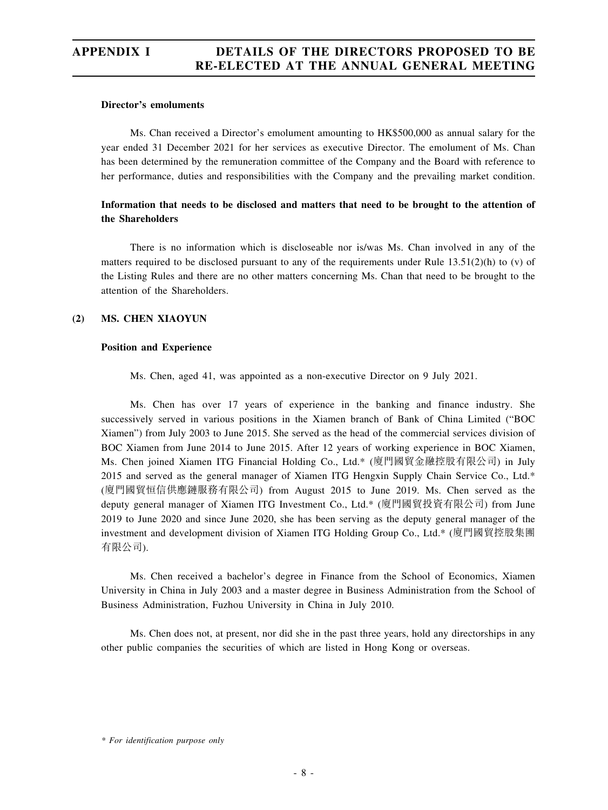#### **Director's emoluments**

Ms. Chan received a Director's emolument amounting to HK\$500,000 as annual salary for the year ended 31 December 2021 for her services as executive Director. The emolument of Ms. Chan has been determined by the remuneration committee of the Company and the Board with reference to her performance, duties and responsibilities with the Company and the prevailing market condition.

## **Information that needs to be disclosed and matters that need to be brought to the attention of the Shareholders**

There is no information which is discloseable nor is/was Ms. Chan involved in any of the matters required to be disclosed pursuant to any of the requirements under Rule  $13.51(2)(h)$  to (v) of the Listing Rules and there are no other matters concerning Ms. Chan that need to be brought to the attention of the Shareholders.

### **(2) MS. CHEN XIAOYUN**

#### **Position and Experience**

Ms. Chen, aged 41, was appointed as a non-executive Director on 9 July 2021.

Ms. Chen has over 17 years of experience in the banking and finance industry. She successively served in various positions in the Xiamen branch of Bank of China Limited ("BOC Xiamen") from July 2003 to June 2015. She served as the head of the commercial services division of BOC Xiamen from June 2014 to June 2015. After 12 years of working experience in BOC Xiamen, Ms. Chen joined Xiamen ITG Financial Holding Co., Ltd.\* (廈門國貿金融控股有限公司) in July 2015 and served as the general manager of Xiamen ITG Hengxin Supply Chain Service Co., Ltd.\* (廈門國貿恒信供應鏈服務有限公司) from August 2015 to June 2019. Ms. Chen served as the deputy general manager of Xiamen ITG Investment Co., Ltd.\* (廈門國貿投資有限公司) from June 2019 to June 2020 and since June 2020, she has been serving as the deputy general manager of the investment and development division of Xiamen ITG Holding Group Co., Ltd.\* (廈門國貿控股集團 有限公司).

Ms. Chen received a bachelor's degree in Finance from the School of Economics, Xiamen University in China in July 2003 and a master degree in Business Administration from the School of Business Administration, Fuzhou University in China in July 2010.

Ms. Chen does not, at present, nor did she in the past three years, hold any directorships in any other public companies the securities of which are listed in Hong Kong or overseas.

*\* For identification purpose only*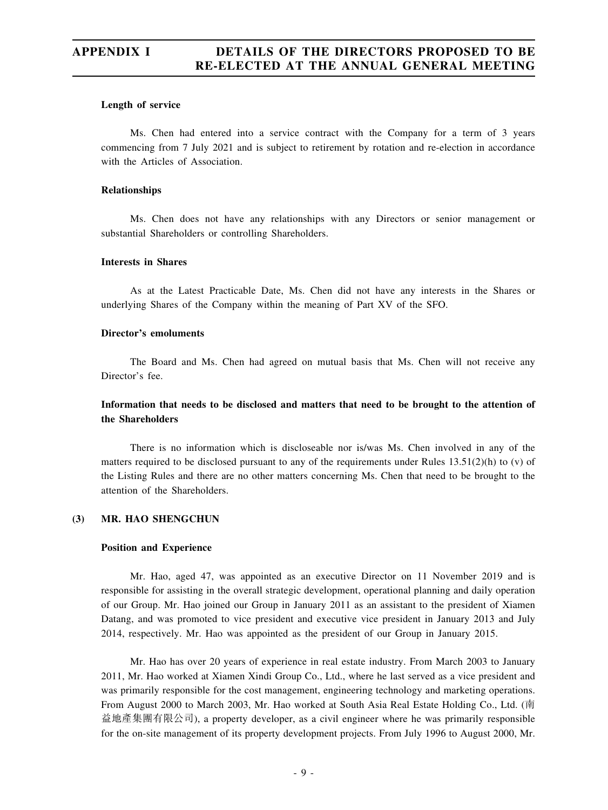#### **Length of service**

Ms. Chen had entered into a service contract with the Company for a term of 3 years commencing from 7 July 2021 and is subject to retirement by rotation and re-election in accordance with the Articles of Association.

#### **Relationships**

Ms. Chen does not have any relationships with any Directors or senior management or substantial Shareholders or controlling Shareholders.

#### **Interests in Shares**

As at the Latest Practicable Date, Ms. Chen did not have any interests in the Shares or underlying Shares of the Company within the meaning of Part XV of the SFO.

### **Director's emoluments**

The Board and Ms. Chen had agreed on mutual basis that Ms. Chen will not receive any Director's fee.

## **Information that needs to be disclosed and matters that need to be brought to the attention of the Shareholders**

There is no information which is discloseable nor is/was Ms. Chen involved in any of the matters required to be disclosed pursuant to any of the requirements under Rules  $13.51(2)(h)$  to (v) of the Listing Rules and there are no other matters concerning Ms. Chen that need to be brought to the attention of the Shareholders.

## **(3) MR. HAO SHENGCHUN**

#### **Position and Experience**

Mr. Hao, aged 47, was appointed as an executive Director on 11 November 2019 and is responsible for assisting in the overall strategic development, operational planning and daily operation of our Group. Mr. Hao joined our Group in January 2011 as an assistant to the president of Xiamen Datang, and was promoted to vice president and executive vice president in January 2013 and July 2014, respectively. Mr. Hao was appointed as the president of our Group in January 2015.

Mr. Hao has over 20 years of experience in real estate industry. From March 2003 to January 2011, Mr. Hao worked at Xiamen Xindi Group Co., Ltd., where he last served as a vice president and was primarily responsible for the cost management, engineering technology and marketing operations. From August 2000 to March 2003, Mr. Hao worked at South Asia Real Estate Holding Co., Ltd. (南 益地產集團有限公司), a property developer, as a civil engineer where he was primarily responsible for the on-site management of its property development projects. From July 1996 to August 2000, Mr.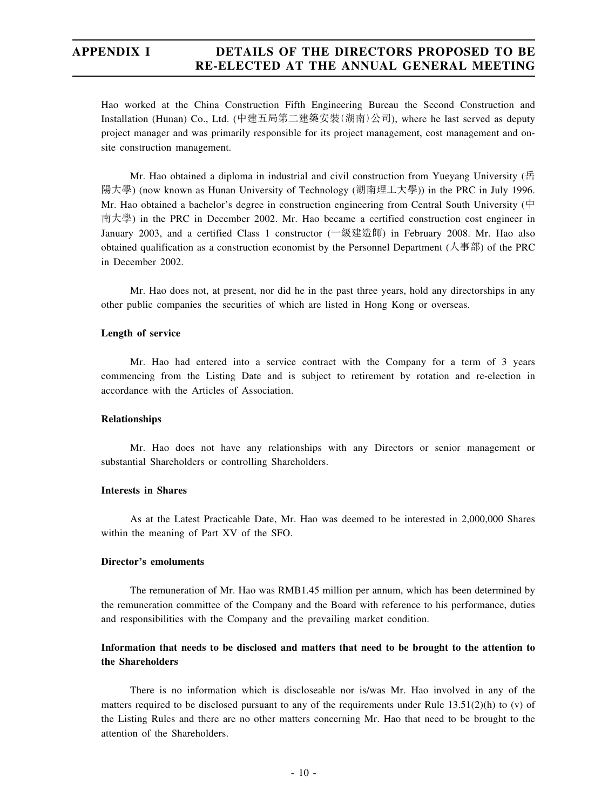Hao worked at the China Construction Fifth Engineering Bureau the Second Construction and Installation (Hunan) Co., Ltd. (中建五局第二建築安裝(湖南)公司), where he last served as deputy project manager and was primarily responsible for its project management, cost management and onsite construction management.

Mr. Hao obtained a diploma in industrial and civil construction from Yueyang University (岳 陽大學) (now known as Hunan University of Technology (湖南理工大學)) in the PRC in July 1996. Mr. Hao obtained a bachelor's degree in construction engineering from Central South University (中 南大學) in the PRC in December 2002. Mr. Hao became a certified construction cost engineer in January 2003, and a certified Class 1 constructor (一級建造師) in February 2008. Mr. Hao also obtained qualification as a construction economist by the Personnel Department (人事部) of the PRC in December 2002.

Mr. Hao does not, at present, nor did he in the past three years, hold any directorships in any other public companies the securities of which are listed in Hong Kong or overseas.

#### **Length of service**

Mr. Hao had entered into a service contract with the Company for a term of 3 years commencing from the Listing Date and is subject to retirement by rotation and re-election in accordance with the Articles of Association.

#### **Relationships**

Mr. Hao does not have any relationships with any Directors or senior management or substantial Shareholders or controlling Shareholders.

#### **Interests in Shares**

As at the Latest Practicable Date, Mr. Hao was deemed to be interested in 2,000,000 Shares within the meaning of Part XV of the SFO.

## **Director's emoluments**

The remuneration of Mr. Hao was RMB1.45 million per annum, which has been determined by the remuneration committee of the Company and the Board with reference to his performance, duties and responsibilities with the Company and the prevailing market condition.

## **Information that needs to be disclosed and matters that need to be brought to the attention to the Shareholders**

There is no information which is discloseable nor is/was Mr. Hao involved in any of the matters required to be disclosed pursuant to any of the requirements under Rule  $13.51(2)(h)$  to (v) of the Listing Rules and there are no other matters concerning Mr. Hao that need to be brought to the attention of the Shareholders.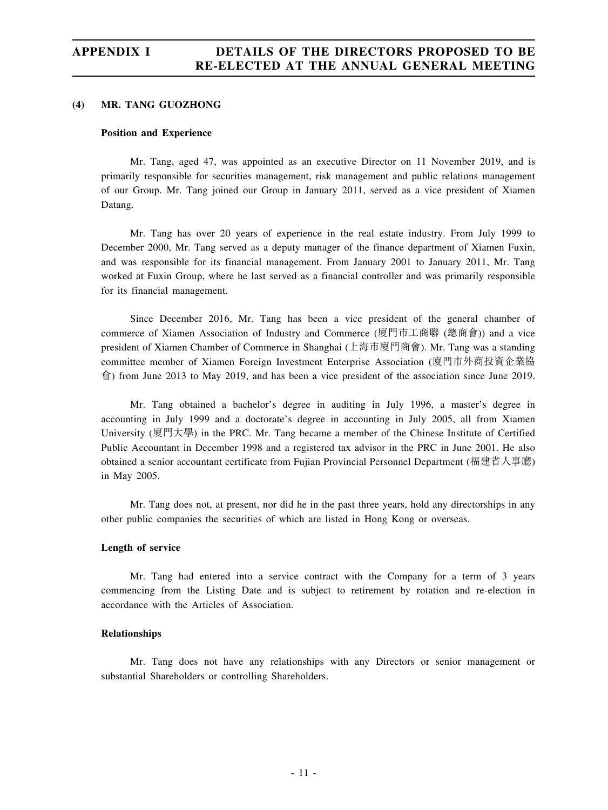#### **(4) MR. TANG GUOZHONG**

#### **Position and Experience**

Mr. Tang, aged 47, was appointed as an executive Director on 11 November 2019, and is primarily responsible for securities management, risk management and public relations management of our Group. Mr. Tang joined our Group in January 2011, served as a vice president of Xiamen Datang.

Mr. Tang has over 20 years of experience in the real estate industry. From July 1999 to December 2000, Mr. Tang served as a deputy manager of the finance department of Xiamen Fuxin, and was responsible for its financial management. From January 2001 to January 2011, Mr. Tang worked at Fuxin Group, where he last served as a financial controller and was primarily responsible for its financial management.

Since December 2016, Mr. Tang has been a vice president of the general chamber of commerce of Xiamen Association of Industry and Commerce (廈門市工商聯 (總商會)) and a vice president of Xiamen Chamber of Commerce in Shanghai (上海市廈門商會). Mr. Tang was a standing committee member of Xiamen Foreign Investment Enterprise Association (廈門市外商投資企業協 會) from June 2013 to May 2019, and has been a vice president of the association since June 2019.

Mr. Tang obtained a bachelor's degree in auditing in July 1996, a master's degree in accounting in July 1999 and a doctorate's degree in accounting in July 2005, all from Xiamen University (廈門大學) in the PRC. Mr. Tang became a member of the Chinese Institute of Certified Public Accountant in December 1998 and a registered tax advisor in the PRC in June 2001. He also obtained a senior accountant certificate from Fujian Provincial Personnel Department (福建省人事廳) in May 2005.

Mr. Tang does not, at present, nor did he in the past three years, hold any directorships in any other public companies the securities of which are listed in Hong Kong or overseas.

#### **Length of service**

Mr. Tang had entered into a service contract with the Company for a term of 3 years commencing from the Listing Date and is subject to retirement by rotation and re-election in accordance with the Articles of Association.

#### **Relationships**

Mr. Tang does not have any relationships with any Directors or senior management or substantial Shareholders or controlling Shareholders.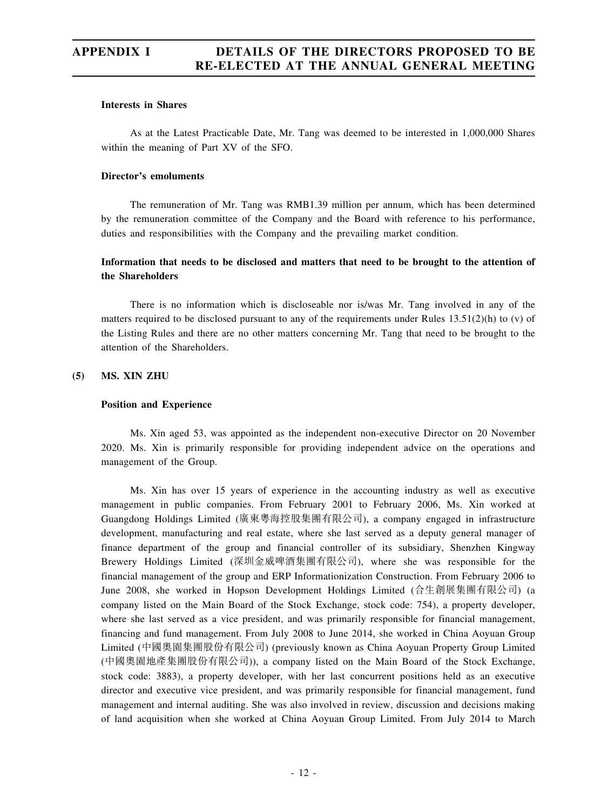#### **Interests in Shares**

As at the Latest Practicable Date, Mr. Tang was deemed to be interested in 1,000,000 Shares within the meaning of Part XV of the SFO.

#### **Director's emoluments**

The remuneration of Mr. Tang was RMB1.39 million per annum, which has been determined by the remuneration committee of the Company and the Board with reference to his performance, duties and responsibilities with the Company and the prevailing market condition.

## **Information that needs to be disclosed and matters that need to be brought to the attention of the Shareholders**

There is no information which is discloseable nor is/was Mr. Tang involved in any of the matters required to be disclosed pursuant to any of the requirements under Rules  $13.51(2)(h)$  to (v) of the Listing Rules and there are no other matters concerning Mr. Tang that need to be brought to the attention of the Shareholders.

#### **(5) MS. XIN ZHU**

#### **Position and Experience**

Ms. Xin aged 53, was appointed as the independent non-executive Director on 20 November 2020. Ms. Xin is primarily responsible for providing independent advice on the operations and management of the Group.

Ms. Xin has over 15 years of experience in the accounting industry as well as executive management in public companies. From February 2001 to February 2006, Ms. Xin worked at Guangdong Holdings Limited (廣東粵海控股集團有限公司), a company engaged in infrastructure development, manufacturing and real estate, where she last served as a deputy general manager of finance department of the group and financial controller of its subsidiary, Shenzhen Kingway Brewery Holdings Limited (深圳金威啤酒集團有限公司), where she was responsible for the financial management of the group and ERP Informationization Construction. From February 2006 to June 2008, she worked in Hopson Development Holdings Limited (合生創展集團有限公司) (a company listed on the Main Board of the Stock Exchange, stock code: 754), a property developer, where she last served as a vice president, and was primarily responsible for financial management, financing and fund management. From July 2008 to June 2014, she worked in China Aoyuan Group Limited (中國奧園集團股份有限公司) (previously known as China Aoyuan Property Group Limited (中國奧園地產集團股份有限公司)), a company listed on the Main Board of the Stock Exchange, stock code: 3883), a property developer, with her last concurrent positions held as an executive director and executive vice president, and was primarily responsible for financial management, fund management and internal auditing. She was also involved in review, discussion and decisions making of land acquisition when she worked at China Aoyuan Group Limited. From July 2014 to March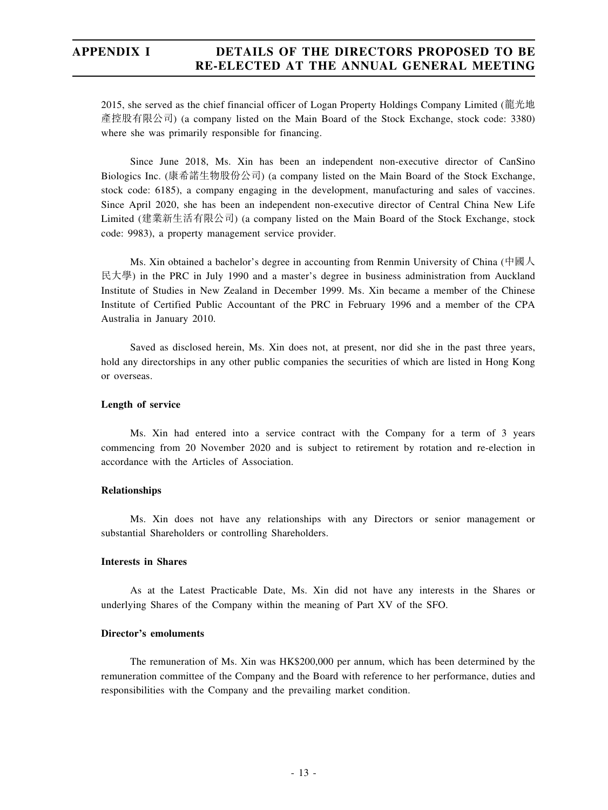2015, she served as the chief financial officer of Logan Property Holdings Company Limited (龍光地 產控股有限公司) (a company listed on the Main Board of the Stock Exchange, stock code: 3380) where she was primarily responsible for financing.

Since June 2018, Ms. Xin has been an independent non-executive director of CanSino Biologics Inc. (康希諾生物股份公司) (a company listed on the Main Board of the Stock Exchange, stock code: 6185), a company engaging in the development, manufacturing and sales of vaccines. Since April 2020, she has been an independent non-executive director of Central China New Life Limited (建業新生活有限公司) (a company listed on the Main Board of the Stock Exchange, stock code: 9983), a property management service provider.

Ms. Xin obtained a bachelor's degree in accounting from Renmin University of China (中國人 民大學) in the PRC in July 1990 and a master's degree in business administration from Auckland Institute of Studies in New Zealand in December 1999. Ms. Xin became a member of the Chinese Institute of Certified Public Accountant of the PRC in February 1996 and a member of the CPA Australia in January 2010.

Saved as disclosed herein, Ms. Xin does not, at present, nor did she in the past three years, hold any directorships in any other public companies the securities of which are listed in Hong Kong or overseas.

#### **Length of service**

Ms. Xin had entered into a service contract with the Company for a term of 3 years commencing from 20 November 2020 and is subject to retirement by rotation and re-election in accordance with the Articles of Association.

#### **Relationships**

Ms. Xin does not have any relationships with any Directors or senior management or substantial Shareholders or controlling Shareholders.

## **Interests in Shares**

As at the Latest Practicable Date, Ms. Xin did not have any interests in the Shares or underlying Shares of the Company within the meaning of Part XV of the SFO.

#### **Director's emoluments**

The remuneration of Ms. Xin was HK\$200,000 per annum, which has been determined by the remuneration committee of the Company and the Board with reference to her performance, duties and responsibilities with the Company and the prevailing market condition.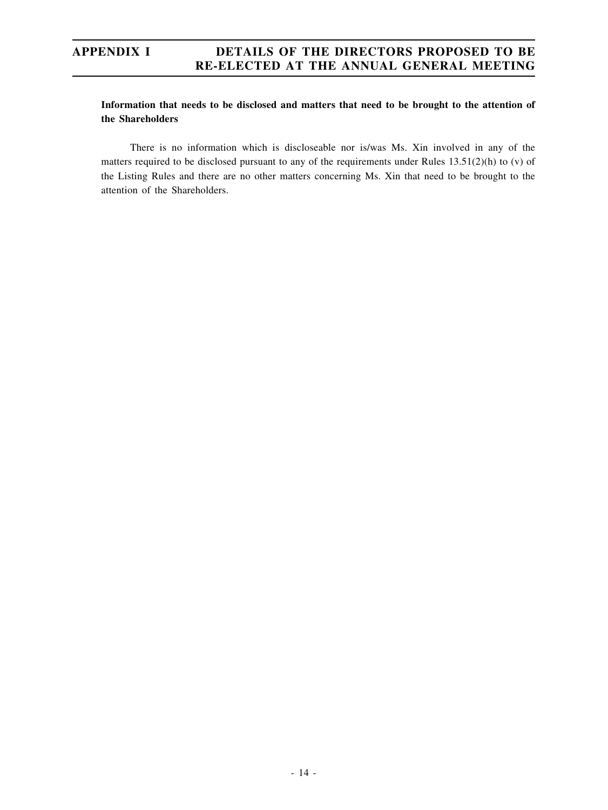## **Information that needs to be disclosed and matters that need to be brought to the attention of the Shareholders**

There is no information which is discloseable nor is/was Ms. Xin involved in any of the matters required to be disclosed pursuant to any of the requirements under Rules  $13.51(2)(h)$  to (v) of the Listing Rules and there are no other matters concerning Ms. Xin that need to be brought to the attention of the Shareholders.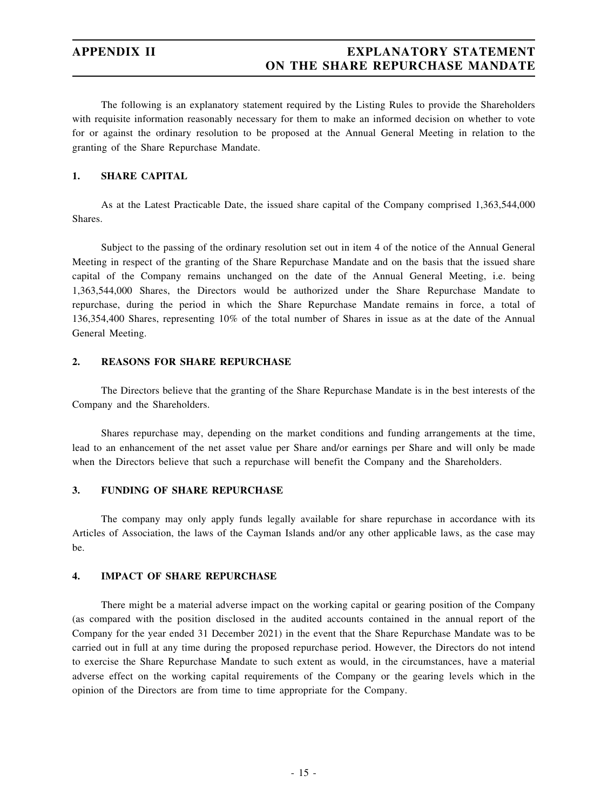The following is an explanatory statement required by the Listing Rules to provide the Shareholders with requisite information reasonably necessary for them to make an informed decision on whether to vote for or against the ordinary resolution to be proposed at the Annual General Meeting in relation to the granting of the Share Repurchase Mandate.

#### **1. SHARE CAPITAL**

As at the Latest Practicable Date, the issued share capital of the Company comprised 1,363,544,000 Shares.

Subject to the passing of the ordinary resolution set out in item 4 of the notice of the Annual General Meeting in respect of the granting of the Share Repurchase Mandate and on the basis that the issued share capital of the Company remains unchanged on the date of the Annual General Meeting, i.e. being 1,363,544,000 Shares, the Directors would be authorized under the Share Repurchase Mandate to repurchase, during the period in which the Share Repurchase Mandate remains in force, a total of 136,354,400 Shares, representing 10% of the total number of Shares in issue as at the date of the Annual General Meeting.

## **2. REASONS FOR SHARE REPURCHASE**

The Directors believe that the granting of the Share Repurchase Mandate is in the best interests of the Company and the Shareholders.

Shares repurchase may, depending on the market conditions and funding arrangements at the time, lead to an enhancement of the net asset value per Share and/or earnings per Share and will only be made when the Directors believe that such a repurchase will benefit the Company and the Shareholders.

#### **3. FUNDING OF SHARE REPURCHASE**

The company may only apply funds legally available for share repurchase in accordance with its Articles of Association, the laws of the Cayman Islands and/or any other applicable laws, as the case may be.

## **4. IMPACT OF SHARE REPURCHASE**

There might be a material adverse impact on the working capital or gearing position of the Company (as compared with the position disclosed in the audited accounts contained in the annual report of the Company for the year ended 31 December 2021) in the event that the Share Repurchase Mandate was to be carried out in full at any time during the proposed repurchase period. However, the Directors do not intend to exercise the Share Repurchase Mandate to such extent as would, in the circumstances, have a material adverse effect on the working capital requirements of the Company or the gearing levels which in the opinion of the Directors are from time to time appropriate for the Company.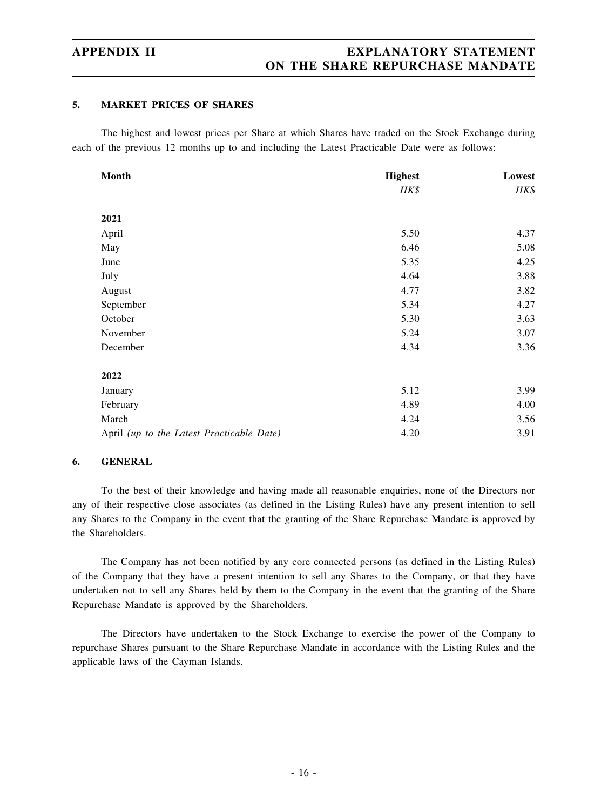# **APPENDIX II EXPLANATORY STATEMENT ON THE SHARE REPURCHASE MANDATE**

#### **5. MARKET PRICES OF SHARES**

The highest and lowest prices per Share at which Shares have traded on the Stock Exchange during each of the previous 12 months up to and including the Latest Practicable Date were as follows:

| <b>Month</b>                              | <b>Highest</b> | Lowest |
|-------------------------------------------|----------------|--------|
|                                           | HK\$           | HK\$   |
|                                           |                |        |
| 2021                                      |                |        |
| April                                     | 5.50           | 4.37   |
| May                                       | 6.46           | 5.08   |
| June                                      | 5.35           | 4.25   |
| July                                      | 4.64           | 3.88   |
| August                                    | 4.77           | 3.82   |
| September                                 | 5.34           | 4.27   |
| October                                   | 5.30           | 3.63   |
| November                                  | 5.24           | 3.07   |
| December                                  | 4.34           | 3.36   |
| 2022                                      |                |        |
| January                                   | 5.12           | 3.99   |
| February                                  | 4.89           | 4.00   |
| March                                     | 4.24           | 3.56   |
| April (up to the Latest Practicable Date) | 4.20           | 3.91   |

#### **6. GENERAL**

To the best of their knowledge and having made all reasonable enquiries, none of the Directors nor any of their respective close associates (as defined in the Listing Rules) have any present intention to sell any Shares to the Company in the event that the granting of the Share Repurchase Mandate is approved by the Shareholders.

The Company has not been notified by any core connected persons (as defined in the Listing Rules) of the Company that they have a present intention to sell any Shares to the Company, or that they have undertaken not to sell any Shares held by them to the Company in the event that the granting of the Share Repurchase Mandate is approved by the Shareholders.

The Directors have undertaken to the Stock Exchange to exercise the power of the Company to repurchase Shares pursuant to the Share Repurchase Mandate in accordance with the Listing Rules and the applicable laws of the Cayman Islands.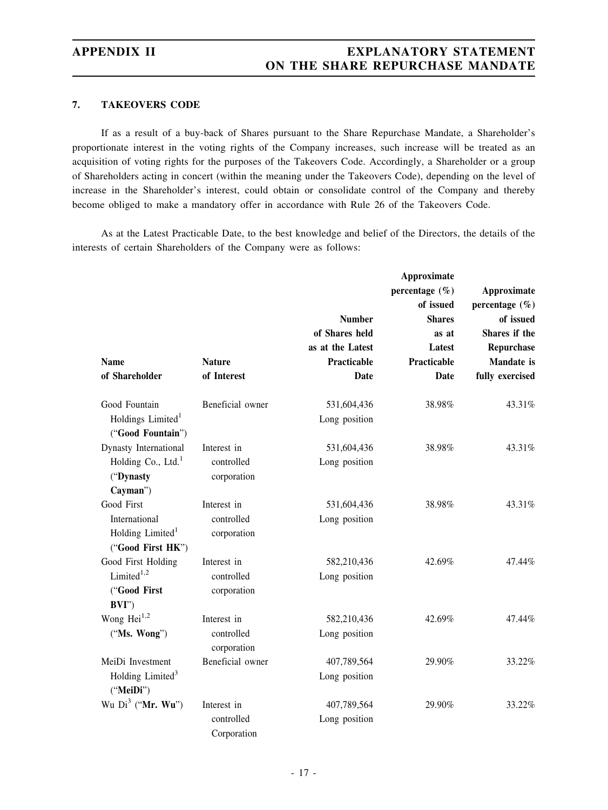## **7. TAKEOVERS CODE**

If as a result of a buy-back of Shares pursuant to the Share Repurchase Mandate, a Shareholder's proportionate interest in the voting rights of the Company increases, such increase will be treated as an acquisition of voting rights for the purposes of the Takeovers Code. Accordingly, a Shareholder or a group of Shareholders acting in concert (within the meaning under the Takeovers Code), depending on the level of increase in the Shareholder's interest, could obtain or consolidate control of the Company and thereby become obliged to make a mandatory offer in accordance with Rule 26 of the Takeovers Code.

As at the Latest Practicable Date, to the best knowledge and belief of the Directors, the details of the interests of certain Shareholders of the Company were as follows:

|                                |                           |                    | Approximate<br>Approximate |                            |  |
|--------------------------------|---------------------------|--------------------|----------------------------|----------------------------|--|
|                                |                           | percentage $(\% )$ |                            |                            |  |
|                                |                           |                    | of issued                  | percentage $(\% )$         |  |
|                                |                           | <b>Number</b>      | <b>Shares</b>              | of issued<br>Shares if the |  |
|                                |                           | of Shares held     | as at                      |                            |  |
|                                |                           | as at the Latest   | Latest                     | Repurchase                 |  |
| <b>Name</b>                    | <b>Nature</b>             | Practicable        | Practicable                | <b>Mandate</b> is          |  |
| of Shareholder                 | of Interest               | Date               | Date                       | fully exercised            |  |
| Good Fountain                  | Beneficial owner          | 531,604,436        | 38.98%                     | 43.31%                     |  |
| Holdings Limited <sup>1</sup>  |                           | Long position      |                            |                            |  |
| ("Good Fountain")              |                           |                    |                            |                            |  |
| Dynasty International          | Interest in               | 531,604,436        | 38.98%                     | 43.31%                     |  |
| Holding Co., Ltd. <sup>1</sup> | controlled                | Long position      |                            |                            |  |
| ("Dynasty                      | corporation               |                    |                            |                            |  |
| Cayman")                       |                           |                    |                            |                            |  |
| Good First                     | Interest in               | 531,604,436        | 38.98%                     | 43.31%                     |  |
| International                  | controlled                | Long position      |                            |                            |  |
| Holding Limited <sup>1</sup>   | corporation               |                    |                            |                            |  |
| ("Good First HK")              |                           |                    |                            |                            |  |
| Good First Holding             | Interest in               | 582,210,436        | 42.69%                     | 47.44%                     |  |
| Limited $1,2$                  | controlled                | Long position      |                            |                            |  |
| ("Good First                   | corporation               |                    |                            |                            |  |
| BVI'                           |                           |                    |                            |                            |  |
| Wong $\text{Hei}^{1,2}$        | Interest in               | 582,210,436        | 42.69%                     | 47.44%                     |  |
| ("Ms. Wong")                   | controlled<br>corporation | Long position      |                            |                            |  |
| MeiDi Investment               | Beneficial owner          | 407,789,564        | 29.90%                     | 33.22%                     |  |
| Holding Limited <sup>3</sup>   |                           | Long position      |                            |                            |  |
| ("MeiDi")                      |                           |                    |                            |                            |  |
| Wu $Di^3$ ("Mr. Wu")           | Interest in               | 407,789,564        | 29.90%                     | 33.22%                     |  |
|                                | controlled                | Long position      |                            |                            |  |
|                                | Corporation               |                    |                            |                            |  |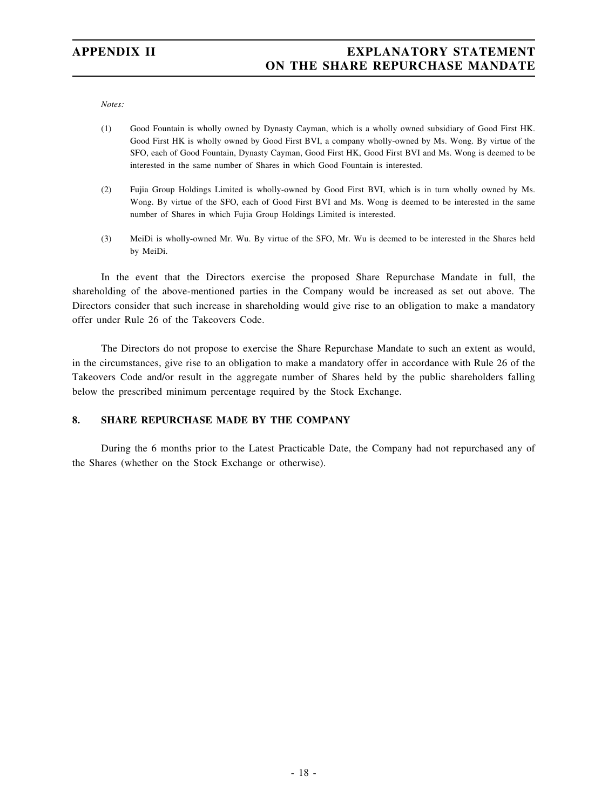# **APPENDIX II EXPLANATORY STATEMENT ON THE SHARE REPURCHASE MANDATE**

*Notes:*

- (1) Good Fountain is wholly owned by Dynasty Cayman, which is a wholly owned subsidiary of Good First HK. Good First HK is wholly owned by Good First BVI, a company wholly-owned by Ms. Wong. By virtue of the SFO, each of Good Fountain, Dynasty Cayman, Good First HK, Good First BVI and Ms. Wong is deemed to be interested in the same number of Shares in which Good Fountain is interested.
- (2) Fujia Group Holdings Limited is wholly-owned by Good First BVI, which is in turn wholly owned by Ms. Wong. By virtue of the SFO, each of Good First BVI and Ms. Wong is deemed to be interested in the same number of Shares in which Fujia Group Holdings Limited is interested.
- (3) MeiDi is wholly-owned Mr. Wu. By virtue of the SFO, Mr. Wu is deemed to be interested in the Shares held by MeiDi.

In the event that the Directors exercise the proposed Share Repurchase Mandate in full, the shareholding of the above-mentioned parties in the Company would be increased as set out above. The Directors consider that such increase in shareholding would give rise to an obligation to make a mandatory offer under Rule 26 of the Takeovers Code.

The Directors do not propose to exercise the Share Repurchase Mandate to such an extent as would, in the circumstances, give rise to an obligation to make a mandatory offer in accordance with Rule 26 of the Takeovers Code and/or result in the aggregate number of Shares held by the public shareholders falling below the prescribed minimum percentage required by the Stock Exchange.

## **8. SHARE REPURCHASE MADE BY THE COMPANY**

During the 6 months prior to the Latest Practicable Date, the Company had not repurchased any of the Shares (whether on the Stock Exchange or otherwise).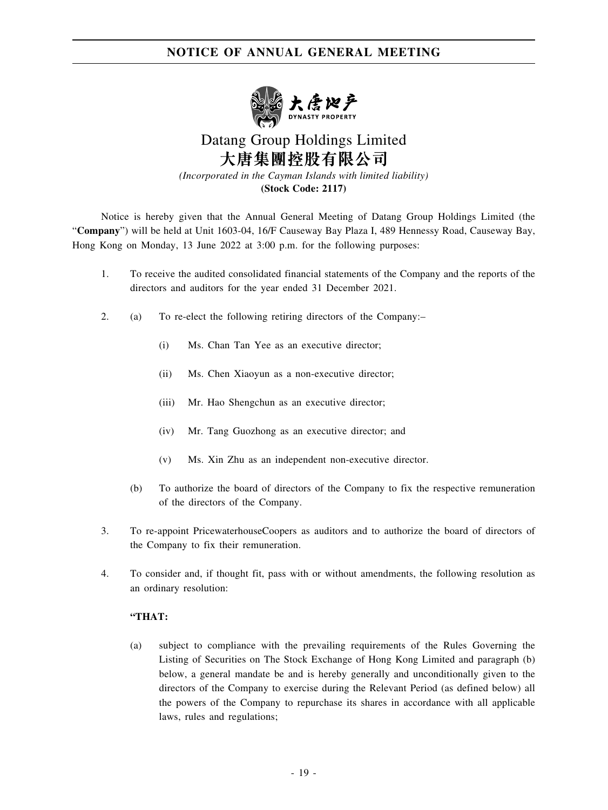

# Datang Group Holdings Limited 大唐集團控股有限公司

*(Incorporated in the Cayman Islands with limited liability)* **(Stock Code: 2117)**

Notice is hereby given that the Annual General Meeting of Datang Group Holdings Limited (the "**Company**") will be held at Unit 1603-04, 16/F Causeway Bay Plaza I, 489 Hennessy Road, Causeway Bay, Hong Kong on Monday, 13 June 2022 at 3:00 p.m. for the following purposes:

- 1. To receive the audited consolidated financial statements of the Company and the reports of the directors and auditors for the year ended 31 December 2021.
- 2. (a) To re-elect the following retiring directors of the Company:–
	- (i) Ms. Chan Tan Yee as an executive director;
	- (ii) Ms. Chen Xiaoyun as a non-executive director;
	- (iii) Mr. Hao Shengchun as an executive director;
	- (iv) Mr. Tang Guozhong as an executive director; and
	- (v) Ms. Xin Zhu as an independent non-executive director.
	- (b) To authorize the board of directors of the Company to fix the respective remuneration of the directors of the Company.
- 3. To re-appoint PricewaterhouseCoopers as auditors and to authorize the board of directors of the Company to fix their remuneration.
- 4. To consider and, if thought fit, pass with or without amendments, the following resolution as an ordinary resolution:

## **"THAT:**

(a) subject to compliance with the prevailing requirements of the Rules Governing the Listing of Securities on The Stock Exchange of Hong Kong Limited and paragraph (b) below, a general mandate be and is hereby generally and unconditionally given to the directors of the Company to exercise during the Relevant Period (as defined below) all the powers of the Company to repurchase its shares in accordance with all applicable laws, rules and regulations;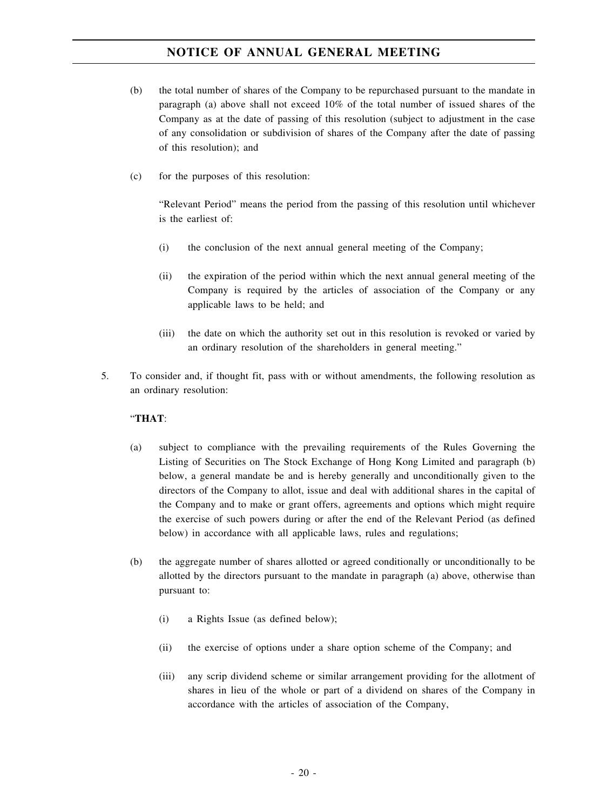- (b) the total number of shares of the Company to be repurchased pursuant to the mandate in paragraph (a) above shall not exceed 10% of the total number of issued shares of the Company as at the date of passing of this resolution (subject to adjustment in the case of any consolidation or subdivision of shares of the Company after the date of passing of this resolution); and
- (c) for the purposes of this resolution:

"Relevant Period" means the period from the passing of this resolution until whichever is the earliest of:

- (i) the conclusion of the next annual general meeting of the Company;
- (ii) the expiration of the period within which the next annual general meeting of the Company is required by the articles of association of the Company or any applicable laws to be held; and
- (iii) the date on which the authority set out in this resolution is revoked or varied by an ordinary resolution of the shareholders in general meeting."
- 5. To consider and, if thought fit, pass with or without amendments, the following resolution as an ordinary resolution:

## "**THAT**:

- (a) subject to compliance with the prevailing requirements of the Rules Governing the Listing of Securities on The Stock Exchange of Hong Kong Limited and paragraph (b) below, a general mandate be and is hereby generally and unconditionally given to the directors of the Company to allot, issue and deal with additional shares in the capital of the Company and to make or grant offers, agreements and options which might require the exercise of such powers during or after the end of the Relevant Period (as defined below) in accordance with all applicable laws, rules and regulations;
- (b) the aggregate number of shares allotted or agreed conditionally or unconditionally to be allotted by the directors pursuant to the mandate in paragraph (a) above, otherwise than pursuant to:
	- (i) a Rights Issue (as defined below);
	- (ii) the exercise of options under a share option scheme of the Company; and
	- (iii) any scrip dividend scheme or similar arrangement providing for the allotment of shares in lieu of the whole or part of a dividend on shares of the Company in accordance with the articles of association of the Company,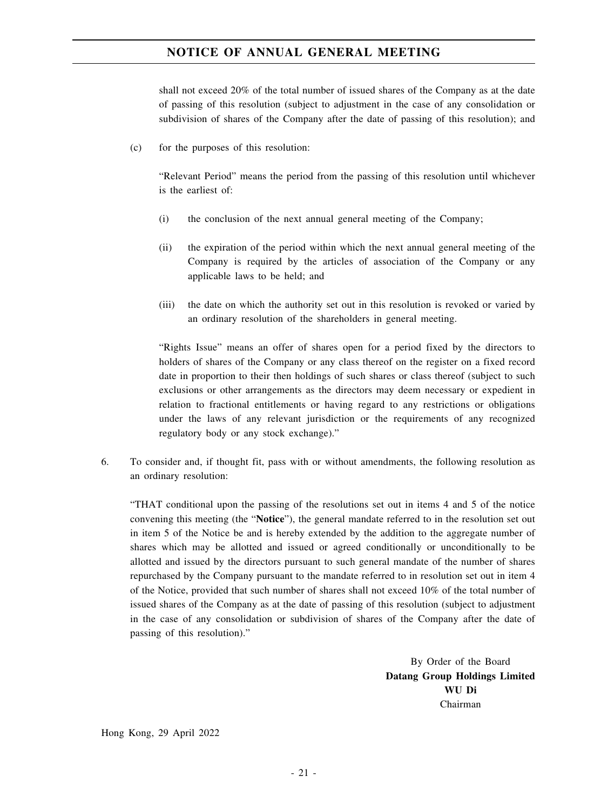shall not exceed 20% of the total number of issued shares of the Company as at the date of passing of this resolution (subject to adjustment in the case of any consolidation or subdivision of shares of the Company after the date of passing of this resolution); and

(c) for the purposes of this resolution:

"Relevant Period" means the period from the passing of this resolution until whichever is the earliest of:

- (i) the conclusion of the next annual general meeting of the Company;
- (ii) the expiration of the period within which the next annual general meeting of the Company is required by the articles of association of the Company or any applicable laws to be held; and
- (iii) the date on which the authority set out in this resolution is revoked or varied by an ordinary resolution of the shareholders in general meeting.

"Rights Issue" means an offer of shares open for a period fixed by the directors to holders of shares of the Company or any class thereof on the register on a fixed record date in proportion to their then holdings of such shares or class thereof (subject to such exclusions or other arrangements as the directors may deem necessary or expedient in relation to fractional entitlements or having regard to any restrictions or obligations under the laws of any relevant jurisdiction or the requirements of any recognized regulatory body or any stock exchange)."

6. To consider and, if thought fit, pass with or without amendments, the following resolution as an ordinary resolution:

"THAT conditional upon the passing of the resolutions set out in items 4 and 5 of the notice convening this meeting (the "**Notice**"), the general mandate referred to in the resolution set out in item 5 of the Notice be and is hereby extended by the addition to the aggregate number of shares which may be allotted and issued or agreed conditionally or unconditionally to be allotted and issued by the directors pursuant to such general mandate of the number of shares repurchased by the Company pursuant to the mandate referred to in resolution set out in item 4 of the Notice, provided that such number of shares shall not exceed 10% of the total number of issued shares of the Company as at the date of passing of this resolution (subject to adjustment in the case of any consolidation or subdivision of shares of the Company after the date of passing of this resolution)."

> By Order of the Board **Datang Group Holdings Limited WU Di** Chairman

Hong Kong, 29 April 2022